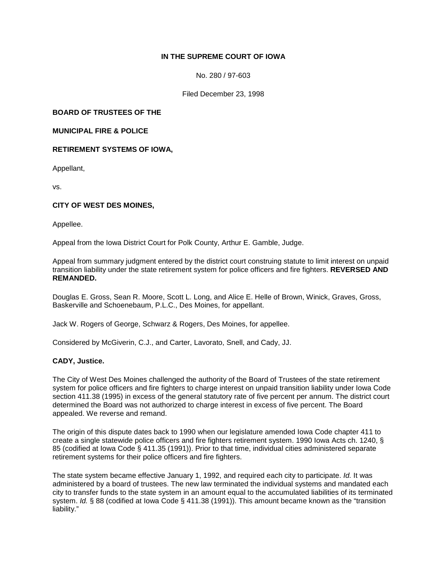# **IN THE SUPREME COURT OF IOWA**

No. 280 / 97-603

Filed December 23, 1998

**BOARD OF TRUSTEES OF THE**

**MUNICIPAL FIRE & POLICE**

**RETIREMENT SYSTEMS OF IOWA,**

Appellant,

vs.

## **CITY OF WEST DES MOINES,**

Appellee.

Appeal from the Iowa District Court for Polk County, Arthur E. Gamble, Judge.

Appeal from summary judgment entered by the district court construing statute to limit interest on unpaid transition liability under the state retirement system for police officers and fire fighters. **REVERSED AND REMANDED.**

Douglas E. Gross, Sean R. Moore, Scott L. Long, and Alice E. Helle of Brown, Winick, Graves, Gross, Baskerville and Schoenebaum, P.L.C., Des Moines, for appellant.

Jack W. Rogers of George, Schwarz & Rogers, Des Moines, for appellee.

Considered by McGiverin, C.J., and Carter, Lavorato, Snell, and Cady, JJ.

### **CADY, Justice.**

The City of West Des Moines challenged the authority of the Board of Trustees of the state retirement system for police officers and fire fighters to charge interest on unpaid transition liability under Iowa Code section 411.38 (1995) in excess of the general statutory rate of five percent per annum. The district court determined the Board was not authorized to charge interest in excess of five percent. The Board appealed. We reverse and remand.

The origin of this dispute dates back to 1990 when our legislature amended Iowa Code chapter 411 to create a single statewide police officers and fire fighters retirement system. 1990 Iowa Acts ch. 1240, § 85 (codified at Iowa Code § 411.35 (1991)). Prior to that time, individual cities administered separate retirement systems for their police officers and fire fighters.

The state system became effective January 1, 1992, and required each city to participate. *Id.* It was administered by a board of trustees. The new law terminated the individual systems and mandated each city to transfer funds to the state system in an amount equal to the accumulated liabilities of its terminated system. *Id.* § 88 (codified at Iowa Code § 411.38 (1991)). This amount became known as the "transition liability."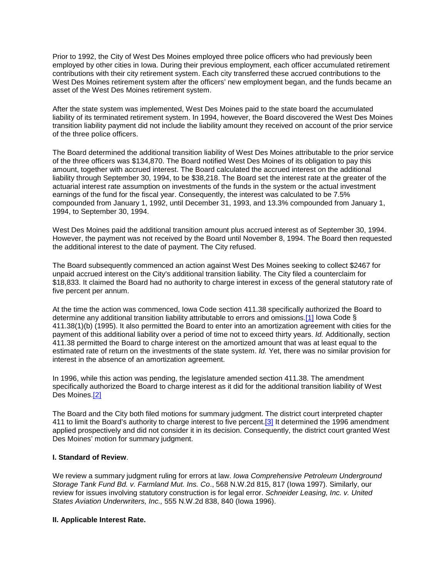Prior to 1992, the City of West Des Moines employed three police officers who had previously been employed by other cities in Iowa. During their previous employment, each officer accumulated retirement contributions with their city retirement system. Each city transferred these accrued contributions to the West Des Moines retirement system after the officers' new employment began, and the funds became an asset of the West Des Moines retirement system.

After the state system was implemented, West Des Moines paid to the state board the accumulated liability of its terminated retirement system. In 1994, however, the Board discovered the West Des Moines transition liability payment did not include the liability amount they received on account of the prior service of the three police officers.

The Board determined the additional transition liability of West Des Moines attributable to the prior service of the three officers was \$134,870. The Board notified West Des Moines of its obligation to pay this amount, together with accrued interest. The Board calculated the accrued interest on the additional liability through September 30, 1994, to be \$38,218. The Board set the interest rate at the greater of the actuarial interest rate assumption on investments of the funds in the system or the actual investment earnings of the fund for the fiscal year. Consequently, the interest was calculated to be 7.5% compounded from January 1, 1992, until December 31, 1993, and 13.3% compounded from January 1, 1994, to September 30, 1994.

West Des Moines paid the additional transition amount plus accrued interest as of September 30, 1994. However, the payment was not received by the Board until November 8, 1994. The Board then requested the additional interest to the date of payment. The City refused.

The Board subsequently commenced an action against West Des Moines seeking to collect \$2467 for unpaid accrued interest on the City's additional transition liability. The City filed a counterclaim for \$18,833. It claimed the Board had no authority to charge interest in excess of the general statutory rate of five percent per annum.

At the time the action was commenced, Iowa Code section 411.38 specifically authorized the Board to determine any additional transition liability attributable to errors and omissions[.\[1\]](http://www.iowacourts.gov/About_the_Courts/Supreme_Court/Supreme_Court_Opinions/Recent_Opinions/19981223/97-0603.asp?Printable=true#fn1) Iowa Code § 411.38(1)(b) (1995). It also permitted the Board to enter into an amortization agreement with cities for the payment of this additional liability over a period of time not to exceed thirty years. *Id.* Additionally, section 411.38 permitted the Board to charge interest on the amortized amount that was at least equal to the estimated rate of return on the investments of the state system. *Id.* Yet, there was no similar provision for interest in the absence of an amortization agreement.

In 1996, while this action was pending, the legislature amended section 411.38. The amendment specifically authorized the Board to charge interest as it did for the additional transition liability of West Des Moines[.\[2\]](http://www.iowacourts.gov/About_the_Courts/Supreme_Court/Supreme_Court_Opinions/Recent_Opinions/19981223/97-0603.asp?Printable=true#fn2)

The Board and the City both filed motions for summary judgment. The district court interpreted chapter 411 to limit the Board's authority to charge interest to five percent[.\[3\]](http://www.iowacourts.gov/About_the_Courts/Supreme_Court/Supreme_Court_Opinions/Recent_Opinions/19981223/97-0603.asp?Printable=true#fn3) It determined the 1996 amendment applied prospectively and did not consider it in its decision. Consequently, the district court granted West Des Moines' motion for summary judgment.

## **I. Standard of Review**.

We review a summary judgment ruling for errors at law. *Iowa Comprehensive Petroleum Underground Storage Tank Fund Bd. v. Farmland Mut. Ins. Co*., 568 N.W.2d 815, 817 (Iowa 1997). Similarly, our review for issues involving statutory construction is for legal error. *Schneider Leasing, Inc. v. United States Aviation Underwriters, Inc.,* 555 N.W.2d 838, 840 (Iowa 1996).

### **II. Applicable Interest Rate.**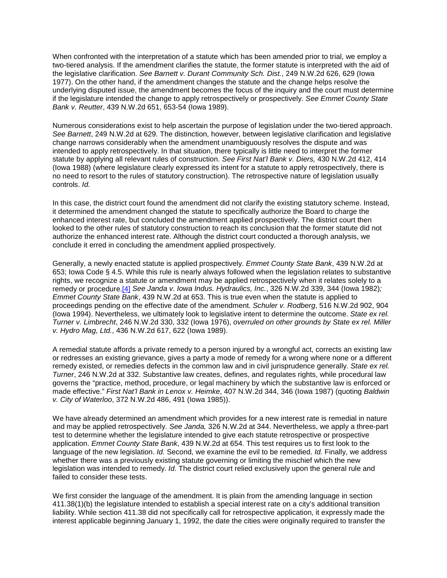When confronted with the interpretation of a statute which has been amended prior to trial, we employ a two-tiered analysis. If the amendment clarifies the statute, the former statute is interpreted with the aid of the legislative clarification. *See Barnett v. Durant Community Sch. Dist.*, 249 N.W.2d 626, 629 (Iowa 1977). On the other hand, if the amendment changes the statute and the change helps resolve the underlying disputed issue, the amendment becomes the focus of the inquiry and the court must determine if the legislature intended the change to apply retrospectively or prospectively. *See Emmet County State Bank v. Reutter*, 439 N.W.2d 651, 653-54 (Iowa 1989).

Numerous considerations exist to help ascertain the purpose of legislation under the two-tiered approach. *See Barnett*, 249 N.W.2d at 629. The distinction, however, between legislative clarification and legislative change narrows considerably when the amendment unambiguously resolves the dispute and was intended to apply retrospectively. In that situation, there typically is little need to interpret the former statute by applying all relevant rules of construction. *See First Nat'l Bank v. Diers,* 430 N.W.2d 412, 414 (Iowa 1988) (where legislature clearly expressed its intent for a statute to apply retrospectively, there is no need to resort to the rules of statutory construction). The retrospective nature of legislation usually controls. *Id.*

In this case, the district court found the amendment did not clarify the existing statutory scheme. Instead, it determined the amendment changed the statute to specifically authorize the Board to charge the enhanced interest rate, but concluded the amendment applied prospectively. The district court then looked to the other rules of statutory construction to reach its conclusion that the former statute did not authorize the enhanced interest rate. Although the district court conducted a thorough analysis, we conclude it erred in concluding the amendment applied prospectively.

Generally, a newly enacted statute is applied prospectively. *Emmet County State Bank*, 439 N.W.2d at 653; Iowa Code § 4.5. While this rule is nearly always followed when the legislation relates to substantive rights, we recognize a statute or amendment may be applied retrospectively when it relates solely to a remedy or procedure[.\[4\]](http://www.iowacourts.gov/About_the_Courts/Supreme_Court/Supreme_Court_Opinions/Recent_Opinions/19981223/97-0603.asp?Printable=true#fn4) *See Janda v. Iowa Indus. Hydraulics, Inc.*, 326 N.W.2d 339, 344 (Iowa 1982)*; Emmet County State Bank*, 439 N.W.2d at 653. This is true even when the statute is applied to proceedings pending on the effective date of the amendment. *Schuler v. Rodberg*, 516 N.W.2d 902, 904 (Iowa 1994). Nevertheless, we ultimately look to legislative intent to determine the outcome. *State ex rel. Turner v. Limbrecht*, 246 N.W.2d 330, 332 (Iowa 1976), *overruled on other grounds by State ex rel. Miller v. Hydro Mag, Ltd.*, 436 N.W.2d 617, 622 (Iowa 1989).

A remedial statute affords a private remedy to a person injured by a wrongful act, corrects an existing law or redresses an existing grievance, gives a party a mode of remedy for a wrong where none or a different remedy existed, or remedies defects in the common law and in civil jurisprudence generally. *State ex rel. Turner*, 246 N.W.2d at 332. Substantive law creates, defines, and regulates rights, while procedural law governs the "practice, method, procedure, or legal machinery by which the substantive law is enforced or made effective." *First Nat'l Bank in Lenox v. Heimke*, 407 N.W.2d 344, 346 (Iowa 1987) (quoting *Baldwin v. City of Waterloo*, 372 N.W.2d 486, 491 (Iowa 1985)).

We have already determined an amendment which provides for a new interest rate is remedial in nature and may be applied retrospectively. *See Janda,* 326 N.W.2d at 344. Nevertheless, we apply a three-part test to determine whether the legislature intended to give each statute retrospective or prospective application. *Emmet County State Bank*, 439 N.W.2d at 654. This test requires us to first look to the language of the new legislation. *Id.* Second, we examine the evil to be remedied. *Id.* Finally, we address whether there was a previously existing statute governing or limiting the mischief which the new legislation was intended to remedy. *Id.* The district court relied exclusively upon the general rule and failed to consider these tests.

We first consider the language of the amendment. It is plain from the amending language in section 411.38(1)(b) the legislature intended to establish a special interest rate on a city's additional transition liability. While section 411.38 did not specifically call for retrospective application, it expressly made the interest applicable beginning January 1, 1992, the date the cities were originally required to transfer the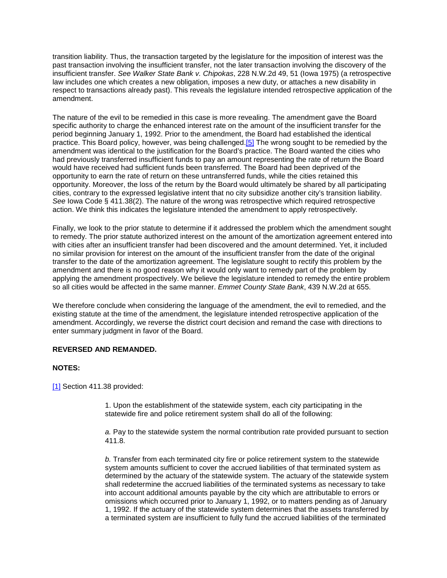transition liability. Thus, the transaction targeted by the legislature for the imposition of interest was the past transaction involving the insufficient transfer, not the later transaction involving the discovery of the insufficient transfer. *See Walker State Bank v. Chipokas*, 228 N.W.2d 49, 51 (Iowa 1975) (a retrospective law includes one which creates a new obligation, imposes a new duty, or attaches a new disability in respect to transactions already past). This reveals the legislature intended retrospective application of the amendment.

The nature of the evil to be remedied in this case is more revealing. The amendment gave the Board specific authority to charge the enhanced interest rate on the amount of the insufficient transfer for the period beginning January 1, 1992. Prior to the amendment, the Board had established the identical practice. This Board policy, however, was being challenged[.\[5\]](http://www.iowacourts.gov/About_the_Courts/Supreme_Court/Supreme_Court_Opinions/Recent_Opinions/19981223/97-0603.asp?Printable=true#fn5) The wrong sought to be remedied by the amendment was identical to the justification for the Board's practice. The Board wanted the cities who had previously transferred insufficient funds to pay an amount representing the rate of return the Board would have received had sufficient funds been transferred. The Board had been deprived of the opportunity to earn the rate of return on these untransferred funds, while the cities retained this opportunity. Moreover, the loss of the return by the Board would ultimately be shared by all participating cities, contrary to the expressed legislative intent that no city subsidize another city's transition liability. *See* Iowa Code § 411.38(2). The nature of the wrong was retrospective which required retrospective action. We think this indicates the legislature intended the amendment to apply retrospectively.

Finally, we look to the prior statute to determine if it addressed the problem which the amendment sought to remedy. The prior statute authorized interest on the amount of the amortization agreement entered into with cities after an insufficient transfer had been discovered and the amount determined. Yet, it included no similar provision for interest on the amount of the insufficient transfer from the date of the original transfer to the date of the amortization agreement. The legislature sought to rectify this problem by the amendment and there is no good reason why it would only want to remedy part of the problem by applying the amendment prospectively. We believe the legislature intended to remedy the entire problem so all cities would be affected in the same manner. *Emmet County State Bank*, 439 N.W.2d at 655.

We therefore conclude when considering the language of the amendment, the evil to remedied, and the existing statute at the time of the amendment, the legislature intended retrospective application of the amendment. Accordingly, we reverse the district court decision and remand the case with directions to enter summary judgment in favor of the Board.

### **REVERSED AND REMANDED.**

### **NOTES:**

[\[1\]](http://www.iowacourts.gov/About_the_Courts/Supreme_Court/Supreme_Court_Opinions/Recent_Opinions/19981223/97-0603.asp?Printable=true#f1) Section 411.38 provided:

1. Upon the establishment of the statewide system, each city participating in the statewide fire and police retirement system shall do all of the following:

*a.* Pay to the statewide system the normal contribution rate provided pursuant to section 411.8.

*b.* Transfer from each terminated city fire or police retirement system to the statewide system amounts sufficient to cover the accrued liabilities of that terminated system as determined by the actuary of the statewide system. The actuary of the statewide system shall redetermine the accrued liabilities of the terminated systems as necessary to take into account additional amounts payable by the city which are attributable to errors or omissions which occurred prior to January 1, 1992, or to matters pending as of January 1, 1992. If the actuary of the statewide system determines that the assets transferred by a terminated system are insufficient to fully fund the accrued liabilities of the terminated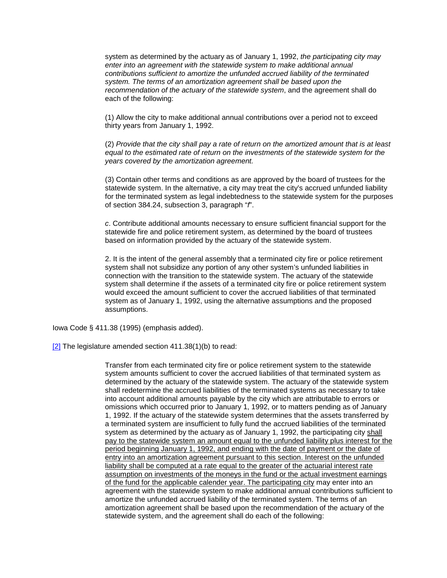system as determined by the actuary as of January 1, 1992, *the participating city may enter into an agreement with the statewide system to make additional annual contributions sufficient to amortize the unfunded accrued liability of the terminated system. The terms of an amortization agreement shall be based upon the recommendation of the actuary of the statewide system*, and the agreement shall do each of the following:

(1) Allow the city to make additional annual contributions over a period not to exceed thirty years from January 1, 1992.

(2) *Provide that the city shall pay a rate of return on the amortized amount that is at least equal to the estimated rate of return on the investments of the statewide system for the years covered by the amortization agreement.*

(3) Contain other terms and conditions as are approved by the board of trustees for the statewide system. In the alternative, a city may treat the city's accrued unfunded liability for the terminated system as legal indebtedness to the statewide system for the purposes of section 384.24, subsection 3, paragraph "*f*".

*c*. Contribute additional amounts necessary to ensure sufficient financial support for the statewide fire and police retirement system, as determined by the board of trustees based on information provided by the actuary of the statewide system.

2. It is the intent of the general assembly that a terminated city fire or police retirement system shall not subsidize any portion of any other system's unfunded liabilities in connection with the transition to the statewide system. The actuary of the statewide system shall determine if the assets of a terminated city fire or police retirement system would exceed the amount sufficient to cover the accrued liabilities of that terminated system as of January 1, 1992, using the alternative assumptions and the proposed assumptions.

Iowa Code § 411.38 (1995) (emphasis added).

 $[2]$  The legislature amended section 411.38(1)(b) to read:

Transfer from each terminated city fire or police retirement system to the statewide system amounts sufficient to cover the accrued liabilities of that terminated system as determined by the actuary of the statewide system. The actuary of the statewide system shall redetermine the accrued liabilities of the terminated systems as necessary to take into account additional amounts payable by the city which are attributable to errors or omissions which occurred prior to January 1, 1992, or to matters pending as of January 1, 1992. If the actuary of the statewide system determines that the assets transferred by a terminated system are insufficient to fully fund the accrued liabilities of the terminated system as determined by the actuary as of January 1, 1992, the participating city shall pay to the statewide system an amount equal to the unfunded liability plus interest for the period beginning January 1, 1992, and ending with the date of payment or the date of entry into an amortization agreement pursuant to this section. Interest on the unfunded liability shall be computed at a rate equal to the greater of the actuarial interest rate assumption on investments of the moneys in the fund or the actual investment earnings of the fund for the applicable calender year. The participating city may enter into an agreement with the statewide system to make additional annual contributions sufficient to amortize the unfunded accrued liability of the terminated system. The terms of an amortization agreement shall be based upon the recommendation of the actuary of the statewide system, and the agreement shall do each of the following: